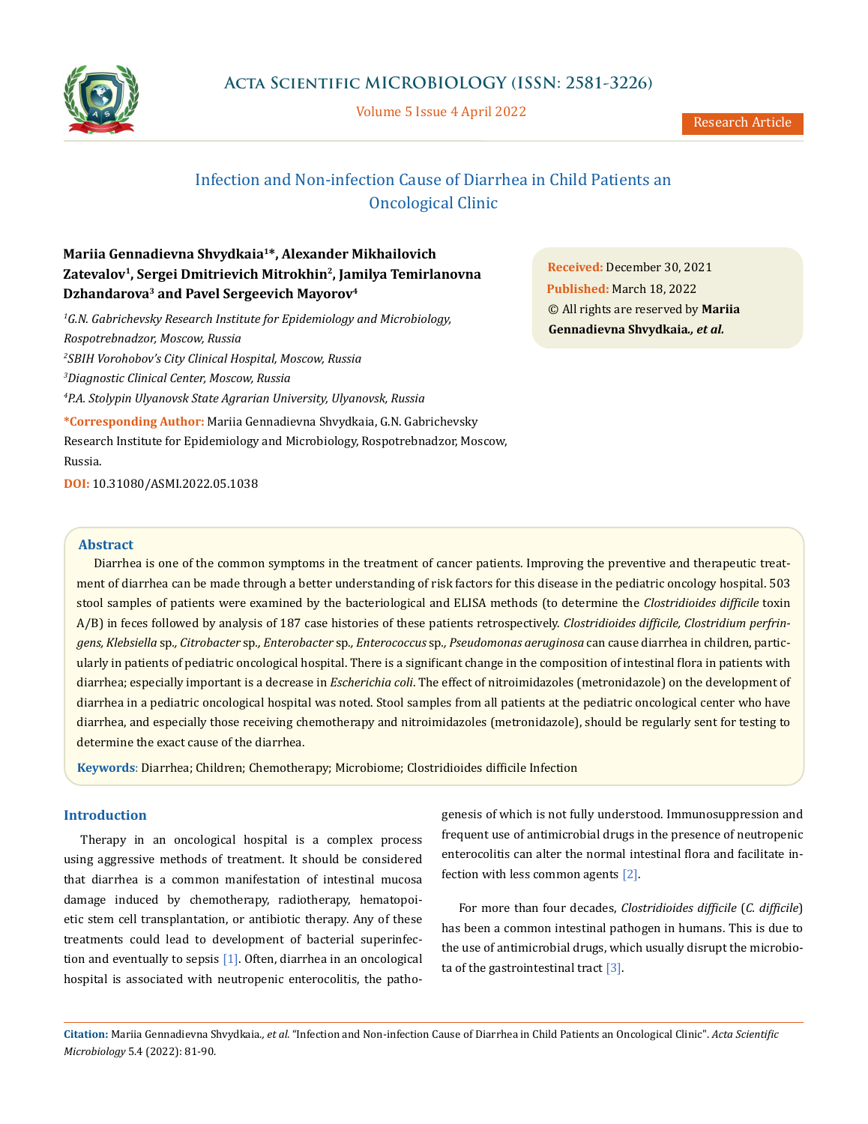

Volume 5 Issue 4 April 2022

Research Article

# Infection and Non-infection Cause of Diarrhea in Child Patients an Oncological Clinic

# **Mariia Gennadievna Shvydkaia1\*, Alexander Mikhailovich Zatevalov1, Sergei Dmitrievich Mitrokhin2, Jamilya Temirlanovna Dzhandarova3 and Pavel Sergeevich Mayorov4**

*1 G.N. Gabrichevsky Research Institute for Epidemiology and Microbiology, Rospotrebnadzor, Moscow, Russia 2 SBIH Vorohobov's City Clinical Hospital, Moscow, Russia 3 Diagnostic Clinical Center, Moscow, Russia 4 P.A. Stolypin Ulyanovsk State Agrarian University, Ulyanovsk, Russia* **\*Corresponding Author:** Mariia Gennadievna Shvydkaia, G.N. Gabrichevsky Research Institute for Epidemiology and Microbiology, Rospotrebnadzor, Moscow,

Russia.

**DOI:** [10.31080/ASMI.2022.05.1038](http://actascientific.com/ASMI/pdf/ASMI-05-1038.pdf)

**Received:** December 30, 2021 **Published:** March 18, 2022 © All rights are reserved by **Mariia Gennadievna Shvydkaia***., et al.*

#### **Abstract**

Diarrhea is one of the common symptoms in the treatment of cancer patients. Improving the preventive and therapeutic treatment of diarrhea can be made through a better understanding of risk factors for this disease in the pediatric oncology hospital. 503 stool samples of patients were examined by the bacteriological and ELISA methods (to determine the *Clostridioides difficile* toxin A/B) in feces followed by analysis of 187 case histories of these patients retrospectively. *Clostridioides difficile, Clostridium perfringens, Klebsiella* sp*., Citrobacter* sp*., Enterobacter* sp*., Enterococcus* sp*., Pseudomonas aeruginosa* can cause diarrhea in children, particularly in patients of pediatric oncological hospital. There is a significant change in the composition of intestinal flora in patients with diarrhea; especially important is a decrease in *Escherichia coli*. The effect of nitroimidazoles (metronidazole) on the development of diarrhea in a pediatric oncological hospital was noted. Stool samples from all patients at the pediatric oncological center who have diarrhea, and especially those receiving chemotherapy and nitroimidazoles (metronidazole), should be regularly sent for testing to determine the exact cause of the diarrhea.

**Keywords**: Diarrhea; Children; Chemotherapy; Microbiome; Clostridioides difficile Infection

# **Introduction**

Therapy in an oncological hospital is a complex process using aggressive methods of treatment. It should be considered that diarrhea is a common manifestation of intestinal mucosa damage induced by chemotherapy, radiotherapy, hematopoietic stem cell transplantation, or antibiotic therapy. Any of these treatments could lead to development of bacterial superinfection and eventually to sepsis  $[1]$ . Often, diarrhea in an oncological hospital is associated with neutropenic enterocolitis, the pathogenesis of which is not fully understood. Immunosuppression and frequent use of antimicrobial drugs in the presence of neutropenic enterocolitis can alter the normal intestinal flora and facilitate infection with less common agents [2].

For more than four decades, *Clostridioides difficile* (*C. difficile*) has been a common intestinal pathogen in humans. This is due to the use of antimicrobial drugs, which usually disrupt the microbiota of the gastrointestinal tract  $[3]$ .

**Citation:** Mariia Gennadievna Shvydkaia*., et al.* "Infection and Non-infection Cause of Diarrhea in Child Patients an Oncological Clinic". *Acta Scientific Microbiology* 5.4 (2022): 81-90.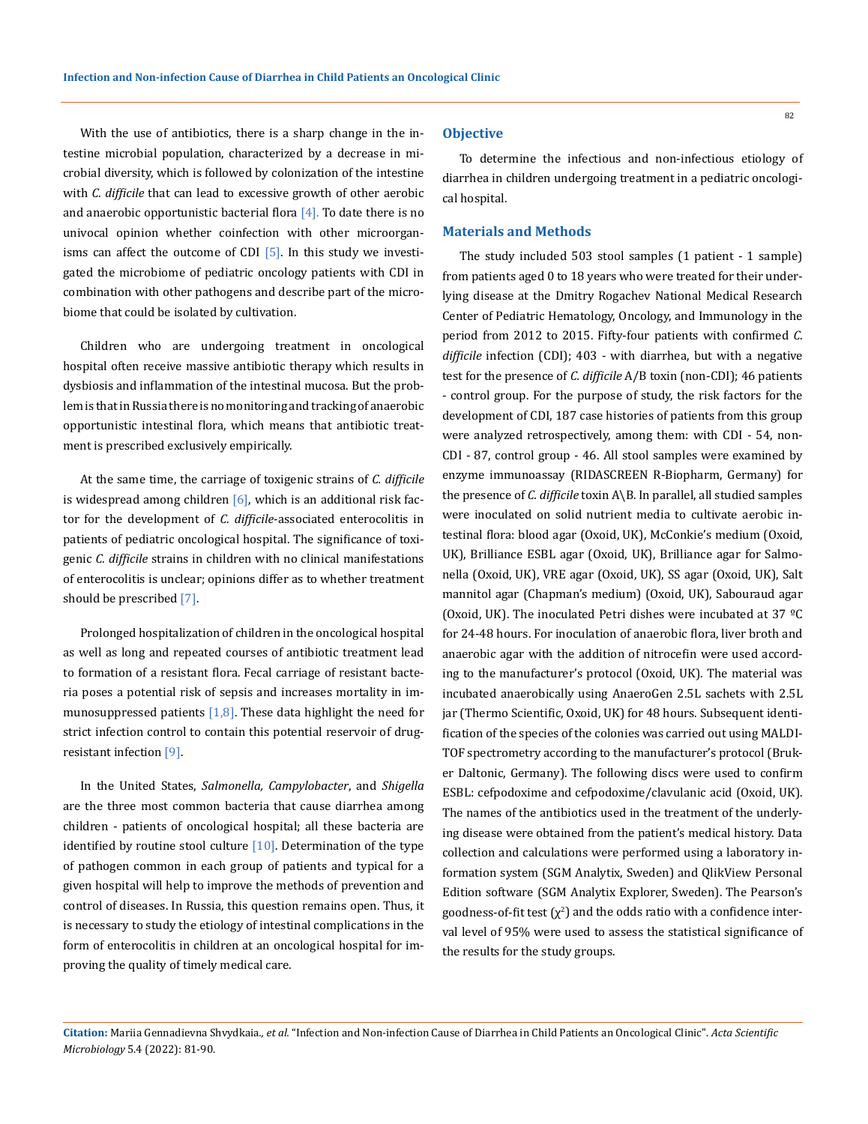With the use of antibiotics, there is a sharp change in the intestine microbial population, characterized by a decrease in microbial diversity, which is followed by colonization of the intestine with *C. difficile* that can lead to excessive growth of other aerobic and anaerobic opportunistic bacterial flora  $[4]$ . To date there is no univocal opinion whether coinfection with other microorganisms can affect the outcome of CDI  $[5]$ . In this study we investigated the microbiome of pediatric oncology patients with CDI in combination with other pathogens and describe part of the microbiome that could be isolated by cultivation.

Children who are undergoing treatment in oncological hospital often receive massive antibiotic therapy which results in dysbiosis and inflammation of the intestinal mucosa. But the problem is that in Russia there is no monitoring and tracking of anaerobic opportunistic intestinal flora, which means that antibiotic treatment is prescribed exclusively empirically.

At the same time, the carriage of toxigenic strains of *C. difficile* is widespread among children  $[6]$ , which is an additional risk factor for the development of *C. difficile*-associated enterocolitis in patients of pediatric oncological hospital. The significance of toxigenic *C. difficile* strains in children with no clinical manifestations of enterocolitis is unclear; opinions differ as to whether treatment should be prescribed [7].

Prolonged hospitalization of children in the oncological hospital as well as long and repeated courses of antibiotic treatment lead to formation of a resistant flora. Fecal carriage of resistant bacteria poses a potential risk of sepsis and increases mortality in immunosuppressed patients  $[1,8]$ . These data highlight the need for strict infection control to contain this potential reservoir of drugresistant infection [9].

In the United States, *Salmonella, Campylobacter*, and *Shigella* are the three most common bacteria that cause diarrhea among children - patients of oncological hospital; all these bacteria are identified by routine stool culture  $[10]$ . Determination of the type of pathogen common in each group of patients and typical for a given hospital will help to improve the methods of prevention and control of diseases. In Russia, this question remains open. Thus, it is necessary to study the etiology of intestinal complications in the form of enterocolitis in children at an oncological hospital for improving the quality of timely medical care.

# **Objective**

To determine the infectious and non-infectious etiology of diarrhea in children undergoing treatment in a pediatric oncological hospital.

#### **Materials and Methods**

The study included 503 stool samples (1 patient - 1 sample) from patients aged 0 to 18 years who were treated for their underlying disease at the Dmitry Rogachev National Medical Research Center of Pediatric Hematology, Oncology, and Immunology in the period from 2012 to 2015. Fifty-four patients with confirmed *C. difficile* infection (CDI); 403 - with diarrhea, but with a negative test for the presence of *C. difficile* A/B toxin (non-CDI); 46 patients - control group. For the purpose of study, the risk factors for the development of CDI, 187 case histories of patients from this group were analyzed retrospectively, among them: with CDI - 54, non-CDI - 87, control group - 46. All stool samples were examined by enzyme immunoassay (RIDASCREEN R-Biopharm, Germany) for the presence of *C. difficile* toxin A\B. In parallel, all studied samples were inoculated on solid nutrient media to cultivate aerobic intestinal flora: blood agar (Oxoid, UK), McConkie's medium (Oxoid, UK), Brilliance ESBL agar (Oxoid, UK), Brilliance agar for Salmonella (Oxoid, UK), VRE agar (Oxoid, UK), SS agar (Oxoid, UK), Salt mannitol agar (Chapman's medium) (Oxoid, UK), Sabouraud agar (Oxoid, UK). The inoculated Petri dishes were incubated at 37 ºC for 24-48 hours. For inoculation of anaerobic flora, liver broth and anaerobic agar with the addition of nitrocefin were used according to the manufacturer's protocol (Oxoid, UK). The material was incubated anaerobically using AnaeroGen 2.5L sachets with 2.5L jar (Thermo Scientific, Oxoid, UK) for 48 hours. Subsequent identification of the species of the colonies was carried out using MALDI-TOF spectrometry according to the manufacturer's protocol (Bruker Daltonic, Germany). The following discs were used to confirm ESBL: cefpodoxime and cefpodoxime/clavulanic acid (Oxoid, UK). The names of the antibiotics used in the treatment of the underlying disease were obtained from the patient's medical history. Data collection and calculations were performed using a laboratory information system (SGM Analytix, Sweden) and QlikView Personal Edition software (SGM Analytix Explorer, Sweden). The Pearson's goodness-of-fit test ( $\chi^2$ ) and the odds ratio with a confidence interval level of 95% were used to assess the statistical significance of the results for the study groups.

**Citation:** Mariia Gennadievna Shvydkaia*., et al.* "Infection and Non-infection Cause of Diarrhea in Child Patients an Oncological Clinic". *Acta Scientific Microbiology* 5.4 (2022): 81-90.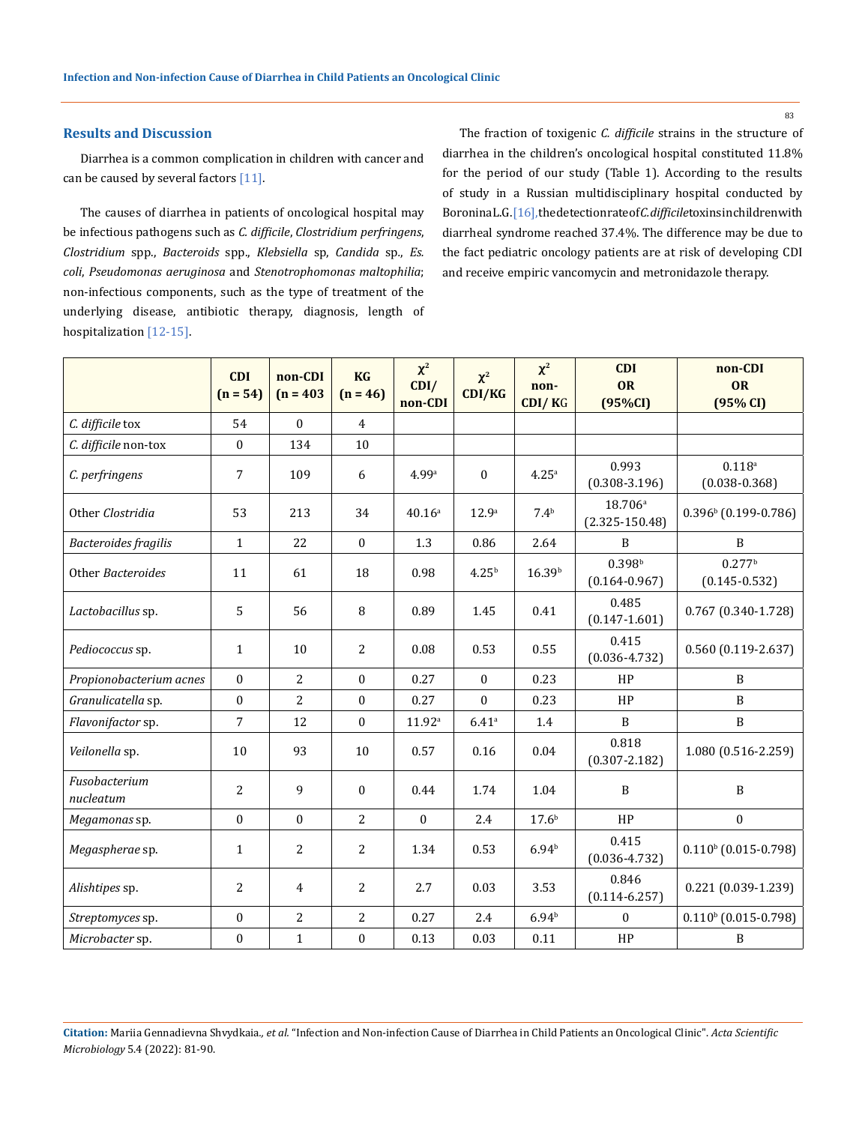#### **Results and Discussion**

Diarrhea is a common complication in children with cancer and can be caused by several factors [11].

The causes of diarrhea in patients of oncological hospital may be infectious pathogens such as *C. difficile*, *Clostridium perfringens*, *Clostridium* spp., *Bacteroids* spp., *Klebsiella* sp, *Candida* sp*.*, *Es. coli*, *Pseudomonas aeruginosa* and *Stenotrophomonas maltophilia*; non-infectious components, such as the type of treatment of the underlying disease, antibiotic therapy, diagnosis, length of hospitalization [12-15].

The fraction of toxigenic *C. difficile* strains in the structure of diarrhea in the children's oncological hospital constituted 11.8% for the period of our study (Table 1). According to the results of study in a Russian multidisciplinary hospital conducted by Boronina L.G. [16], the detection rate of *C. difficile* toxins in children with diarrheal syndrome reached 37.4%. The difference may be due to the fact pediatric oncology patients are at risk of developing CDI and receive empiric vancomycin and metronidazole therapy.

|                            | <b>CDI</b><br>$(n = 54)$ | non-CDI<br>$(n = 403)$ | <b>KG</b><br>$(n = 46)$ | $\chi^2$<br>CDI/<br>non-CDI | $\chi^2$<br>CDI/KG | $\chi^2$<br>non-<br>CDI/KG | <b>CDI</b><br><b>OR</b><br>(95%CI)        | non-CDI<br>OR<br>(95% CI)               |
|----------------------------|--------------------------|------------------------|-------------------------|-----------------------------|--------------------|----------------------------|-------------------------------------------|-----------------------------------------|
| C. difficile tox           | 54                       | $\Omega$               | $\overline{4}$          |                             |                    |                            |                                           |                                         |
| C. difficile non-tox       | $\boldsymbol{0}$         | 134                    | 10                      |                             |                    |                            |                                           |                                         |
| C. perfringens             | 7                        | 109                    | 6                       | 4.99 <sup>a</sup>           | $\mathbf{0}$       | 4.25 <sup>a</sup>          | 0.993<br>$(0.308 - 3.196)$                | $0.118^{a}$<br>$(0.038 - 0.368)$        |
| Other Clostridia           | 53                       | 213                    | 34                      | 40.16 <sup>a</sup>          | 12.9 <sup>a</sup>  | 7.4 <sup>b</sup>           | 18.706 <sup>a</sup><br>$(2.325 - 150.48)$ | $0.396b$ (0.199-0.786)                  |
| Bacteroides fragilis       | $\mathbf{1}$             | 22                     | $\boldsymbol{0}$        | 1.3                         | 0.86               | 2.64                       | B                                         | B                                       |
| Other Bacteroides          | 11                       | 61                     | 18                      | 0.98                        | 4.25 <sup>b</sup>  | 16.39 <sup>b</sup>         | 0.398 <sup>b</sup><br>$(0.164 - 0.967)$   | 0.277 <sup>b</sup><br>$(0.145 - 0.532)$ |
| Lactobacillus sp.          | 5                        | 56                     | 8                       | 0.89                        | 1.45               | 0.41                       | 0.485<br>$(0.147 - 1.601)$                | $0.767$ (0.340-1.728)                   |
| Pediococcus sp.            | $\mathbf{1}$             | 10                     | $\overline{c}$          | 0.08                        | 0.53               | 0.55                       | 0.415<br>$(0.036 - 4.732)$                | $0.560(0.119 - 2.637)$                  |
| Propionobacterium acnes    | $\theta$                 | 2                      | $\mathbf{0}$            | 0.27                        | $\Omega$           | 0.23                       | HP                                        | B                                       |
| Granulicatella sp.         | $\mathbf{0}$             | $\overline{c}$         | $\boldsymbol{0}$        | 0.27                        | $\Omega$           | 0.23                       | HP                                        | $\, {\bf B}$                            |
| Flavonifactor sp.          | 7                        | 12                     | $\mathbf{0}$            | 11.92a                      | 6.41 <sup>a</sup>  | 1.4                        | $\mathbf{B}$                              | $\, {\bf B}$                            |
| Veilonella sp.             | 10                       | 93                     | 10                      | 0.57                        | 0.16               | 0.04                       | 0.818<br>$(0.307 - 2.182)$                | 1.080 (0.516-2.259)                     |
| Fusobacterium<br>nucleatum | $\overline{2}$           | 9                      | $\mathbf{0}$            | 0.44                        | 1.74               | 1.04                       | $\overline{B}$                            | $\mathbf B$                             |
| Megamonas sp.              | $\mathbf{0}$             | $\mathbf{0}$           | $\overline{2}$          | $\mathbf{0}$                | 2.4                | 17.6 <sup>b</sup>          | HP                                        | $\mathbf{0}$                            |
| Megaspherae sp.            | $\mathbf{1}$             | 2                      | 2                       | 1.34                        | 0.53               | $6.94^{b}$                 | 0.415<br>$(0.036 - 4.732)$                | $0.110b$ (0.015-0.798)                  |
| Alishtipes sp.             | 2                        | $\overline{4}$         | 2                       | 2.7                         | 0.03               | 3.53                       | 0.846<br>$(0.114 - 6.257)$                | $0.221(0.039 - 1.239)$                  |
| Streptomyces sp.           | $\boldsymbol{0}$         | $\overline{2}$         | 2                       | 0.27                        | 2.4                | $6.94^{b}$                 | $\Omega$                                  | $0.110b$ (0.015-0.798)                  |
| Microbacter sp.            | $\mathbf{0}$             | $\mathbf{1}$           | $\mathbf{0}$            | 0.13                        | 0.03               | 0.11                       | HP                                        | $\, {\bf B}$                            |

**Citation:** Mariia Gennadievna Shvydkaia*., et al.* "Infection and Non-infection Cause of Diarrhea in Child Patients an Oncological Clinic". *Acta Scientific Microbiology* 5.4 (2022): 81-90.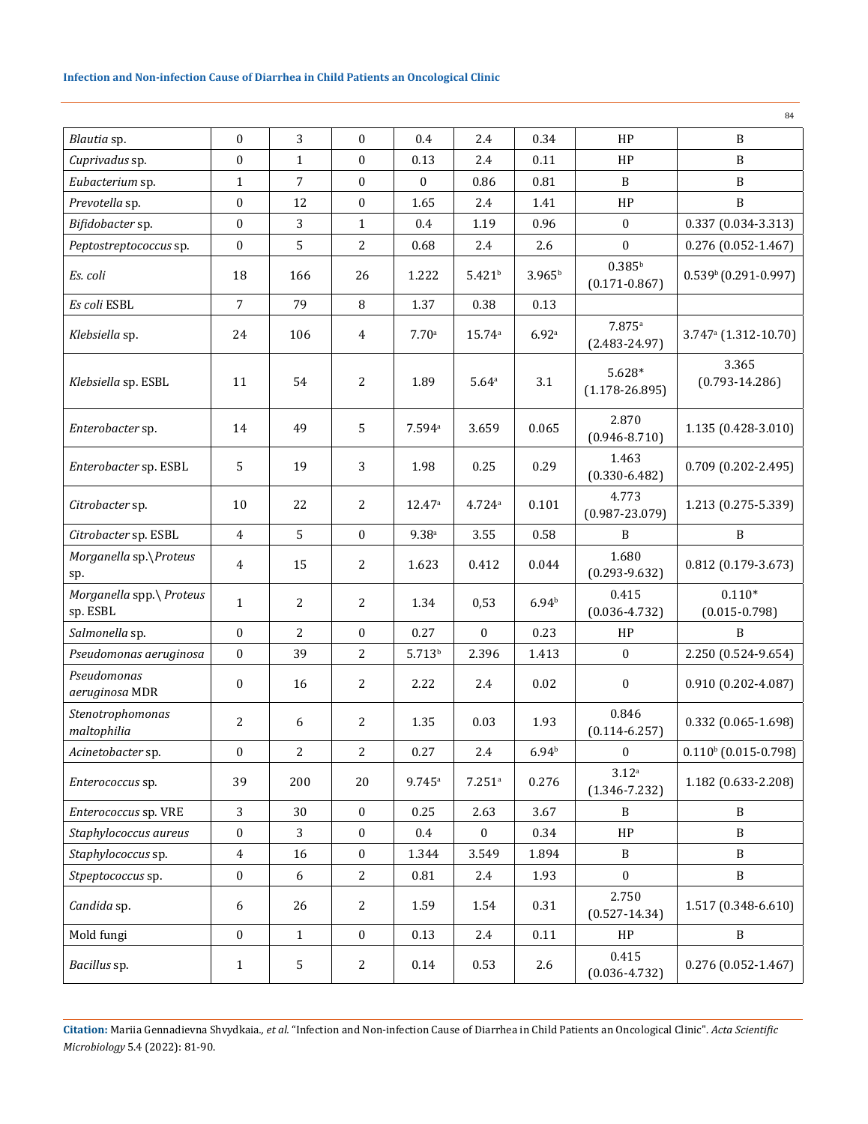| Blautia sp.                          | $\mathbf{0}$     | 3                | $\mathbf{0}$     | 0.4                  | 2.4                  | 0.34               | HP                                        | B                                |
|--------------------------------------|------------------|------------------|------------------|----------------------|----------------------|--------------------|-------------------------------------------|----------------------------------|
| Cuprivadus sp.                       | $\mathbf{0}$     | $\mathbf{1}$     | $\boldsymbol{0}$ | 0.13                 | 2.4                  | 0.11               | HP                                        | $\mathbf B$                      |
| Eubacterium sp.                      | $\mathbf{1}$     | $\overline{7}$   | $\boldsymbol{0}$ | $\mathbf{0}$         | 0.86                 | 0.81               | B                                         | B                                |
| Prevotella sp.                       | $\boldsymbol{0}$ | 12               | $\boldsymbol{0}$ | 1.65                 | 2.4                  | 1.41               | HP                                        | $\mathbf B$                      |
| Bifidobacter sp.                     | $\boldsymbol{0}$ | 3                | $\mathbf{1}$     | 0.4                  | 1.19                 | 0.96               | $\bf{0}$                                  | $0.337(0.034 - 3.313)$           |
| Peptostreptococcus sp.               | $\mathbf{0}$     | 5                | $\overline{c}$   | 0.68                 | 2.4                  | 2.6                | $\bf{0}$                                  | $0.276(0.052 - 1.467)$           |
| Es. coli                             | 18               | 166              | 26               | 1.222                | 5.421 <sup>b</sup>   | 3.965 <sup>b</sup> | 0.385 <sup>b</sup><br>$(0.171 - 0.867)$   | $0.539b(0.291-0.997)$            |
| Es coli ESBL                         | $\overline{7}$   | 79               | $\, 8$           | 1.37                 | 0.38                 | 0.13               |                                           |                                  |
| Klebsiella sp.                       | 24               | 106              | 4                | 7.70 <sup>a</sup>    | 15.74a               | 6.92a              | $7.875$ <sup>a</sup><br>$(2.483 - 24.97)$ | 3.747 <sup>a</sup> (1.312-10.70) |
| Klebsiella sp. ESBL                  | 11               | 54               | 2                | 1.89                 | $5.64$ <sup>a</sup>  | 3.1                | 5.628*<br>$(1.178 - 26.895)$              | 3.365<br>$(0.793 - 14.286)$      |
| Enterobacter sp.                     | 14               | 49               | 5                | 7.594a               | 3.659                | 0.065              | 2.870<br>$(0.946 - 8.710)$                | 1.135 (0.428-3.010)              |
| Enterobacter sp. ESBL                | 5                | 19               | 3                | 1.98                 | 0.25                 | 0.29               | 1.463<br>$(0.330 - 6.482)$                | $0.709(0.202 - 2.495)$           |
| Citrobacter sp.                      | 10               | 22               | $\overline{c}$   | 12.47a               | 4.724a               | 0.101              | 4.773<br>$(0.987 - 23.079)$               | 1.213 (0.275-5.339)              |
| Citrobacter sp. ESBL                 | $\overline{4}$   | 5                | $\boldsymbol{0}$ | $9.38^{a}$           | 3.55                 | 0.58               | B                                         | $\mathbf B$                      |
| Morganella sp.\Proteus<br>sp.        | $\overline{4}$   | 15               | $\overline{c}$   | 1.623                | 0.412                | 0.044              | 1.680<br>$(0.293 - 9.632)$                | $0.812(0.179-3.673)$             |
| Morganella spp.\ Proteus<br>sp. ESBL | $\mathbf{1}$     | 2                | 2                | 1.34                 | 0,53                 | $6.94^{b}$         | 0.415<br>$(0.036 - 4.732)$                | $0.110*$<br>$(0.015 - 0.798)$    |
| Salmonella sp.                       | $\mathbf{0}$     | $\overline{2}$   | $\boldsymbol{0}$ | 0.27                 | $\boldsymbol{0}$     | 0.23               | HP                                        | B                                |
| Pseudomonas aeruginosa               | $\mathbf{0}$     | 39               | 2                | $5.713^{b}$          | 2.396                | 1.413              | $\bf{0}$                                  | 2.250 (0.524-9.654)              |
| Pseudomonas<br>aeruginosa MDR        | $\mathbf{0}$     | 16               | $\overline{c}$   | 2.22                 | 2.4                  | 0.02               | $\bf{0}$                                  | $0.910(0.202 - 4.087)$           |
| Stenotrophomonas<br>maltophilia      | $\overline{2}$   | 6                | 2                | 1.35                 | 0.03                 | 1.93               | 0.846<br>$(0.114 - 6.257)$                | $0.332(0.065 - 1.698)$           |
| Acinetobacter sp.                    | $\boldsymbol{0}$ | 2                | 2                | $0.27\,$             | $2.4\,$              | $6.94^{\rm b}$     | $\Omega$                                  | $0.110b$ (0.015-0.798)           |
| Enterococcus sp.                     | 39               | 200              | 20               | $9.745$ <sup>a</sup> | $7.251$ <sup>a</sup> | 0.276              | 3.12 <sup>a</sup><br>$(1.346 - 7.232)$    | 1.182 (0.633-2.208)              |
| Enterococcus sp. VRE                 | $\overline{3}$   | 30               | $\boldsymbol{0}$ | 0.25                 | 2.63                 | 3.67               | B                                         | B                                |
| Staphylococcus aureus                | $\boldsymbol{0}$ | 3                | $\boldsymbol{0}$ | $0.4\,$              | $\boldsymbol{0}$     | 0.34               | HP                                        | $\mathbf B$                      |
| Staphylococcus sp.                   | $\overline{4}$   | 16               | 0                | 1.344                | 3.549                | 1.894              | B                                         | B                                |
| Stpeptococcus sp.                    | $\boldsymbol{0}$ | $\boldsymbol{6}$ | $\overline{c}$   | 0.81                 | 2.4                  | 1.93               | $\mathbf{0}$                              | $\, {\bf B}$                     |
| Candida sp.                          | $\boldsymbol{6}$ | 26               | $\overline{c}$   | 1.59                 | 1.54                 | 0.31               | 2.750<br>$(0.527 - 14.34)$                | 1.517 (0.348-6.610)              |
| Mold fungi                           | $\boldsymbol{0}$ | $\mathbf{1}$     | $\boldsymbol{0}$ | 0.13                 | 2.4                  | 0.11               | HP                                        | B                                |
| Bacillus sp.                         | $\mathbf{1}$     | 5                | $\mathbf{2}$     | $0.14\,$             | 0.53                 | 2.6                | 0.415<br>$(0.036 - 4.732)$                | $0.276(0.052 - 1.467)$           |

**Citation:** Mariia Gennadievna Shvydkaia*., et al.* "Infection and Non-infection Cause of Diarrhea in Child Patients an Oncological Clinic". *Acta Scientific Microbiology* 5.4 (2022): 81-90.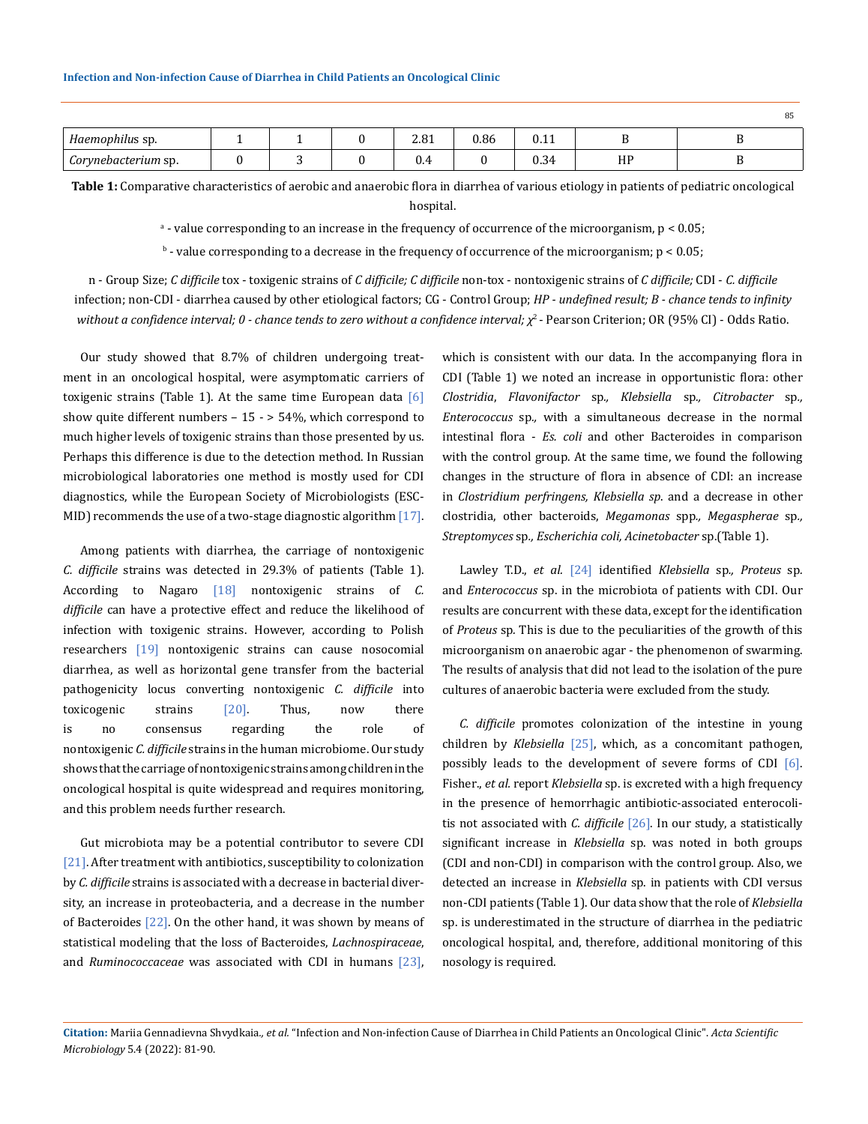|                     |  |               |      |      |    | 85 |
|---------------------|--|---------------|------|------|----|----|
| Haemophilus sp.     |  | 2.81          | 0.86 | 0.11 |    |    |
| Corynebacterium sp. |  | $\sim$<br>U.4 |      | 0.34 | HP |    |

**Table 1:** Comparative characteristics of aerobic and anaerobic flora in diarrhea of various etiology in patients of pediatric oncological hospital.

a - value corresponding to an increase in the frequency of occurrence of the microorganism, p < 0.05;

 $\overline{b}$  - value corresponding to a decrease in the frequency of occurrence of the microorganism;  $p < 0.05$ ;

n - Group Size; *C difficile* tox - toxigenic strains of *C difficile; C difficile* non-tox - nontoxigenic strains of *C difficile;* CDI - *C. difficile* infection; non-CDI - diarrhea caused by other etiological factors; CG - Control Group; *НР - undefined result; B - chance tends to infinity without a confidence interval; 0 - chance tends to zero without a confidence interval; χ<sup>2</sup> - Pearson Criterion; OR (95% CI) - Odds Ratio.* 

Our study showed that 8.7% of children undergoing treatment in an oncological hospital, were asymptomatic carriers of toxigenic strains (Table 1). At the same time European data  $[6]$ show quite different numbers – 15 - > 54%, which correspond to much higher levels of toxigenic strains than those presented by us. Perhaps this difference is due to the detection method. In Russian microbiological laboratories one method is mostly used for CDI diagnostics, while the European Society of Microbiologists (ESC-MID) recommends the use of a two-stage diagnostic algorithm  $[17]$ .

Among patients with diarrhea, the carriage of nontoxigenic *C. difficile* strains was detected in 29.3% of patients (Table 1). According to Nagaro [18] nontoxigenic strains of *C. difficile* can have a protective effect and reduce the likelihood of infection with toxigenic strains. However, according to Polish researchers [19] nontoxigenic strains can cause nosocomial diarrhea, as well as horizontal gene transfer from the bacterial pathogenicity locus converting nontoxigenic *C. difficile* into toxicogenic strains [20]. Thus, now there is no consensus regarding the role of nontoxigenic *C. difficile* strains in the human microbiome. Our study shows that the carriage of nontoxigenic strains among children in the oncological hospital is quite widespread and requires monitoring, and this problem needs further research.

Gut microbiota may be a potential contributor to severe CDI [21]. After treatment with antibiotics, susceptibility to colonization by *C. difficile* strains is associated with a decrease in bacterial diversity, an increase in proteobacteria, and a decrease in the number of Bacteroides  $[22]$ . On the other hand, it was shown by means of statistical modeling that the loss of Bacteroides, *Lachnospiraceae*, and *Ruminococcaceae* was associated with CDI in humans [23],

which is consistent with our data. In the accompanying flora in CDI (Table 1) we noted an increase in opportunistic flora: other *Clostridia*, *Flavonifactor* sp*., Klebsiella* sp*., Citrobacter* sp*., Enterococcus* sp*.,* with a simultaneous decrease in the normal intestinal flora - *Es. coli* and other Bacteroides in comparison with the control group. At the same time, we found the following changes in the structure of flora in absence of CDI: an increase in *Clostridium perfringens, Klebsiella sp*. and a decrease in other clostridia, other bacteroids, *Megamonas* spp*., Megaspherae* sp*., Streptomyces* sp*., Escherichia coli, Acinetobacter* sp.(Table 1).

Lawley T.D., *et al.* [24] identified *Klebsiella* sp*., Proteus* sp*.* and *Enterococcus* sp. in the microbiota of patients with CDI. Our results are concurrent with these data, except for the identification of *Proteus* sp*.* This is due to the peculiarities of the growth of this microorganism on anaerobic agar - the phenomenon of swarming. The results of analysis that did not lead to the isolation of the pure cultures of anaerobic bacteria were excluded from the study.

*C. difficile* promotes colonization of the intestine in young children by *Klebsiella* [25], which, as a concomitant pathogen, possibly leads to the development of severe forms of CDI [6]. Fisher., *et al.* report *Klebsiella* sp. is excreted with a high frequency in the presence of hemorrhagic antibiotic-associated enterocolitis not associated with *C. difficile* [26]. In our study, a statistically significant increase in *Klebsiella* sp. was noted in both groups (CDI and non-CDI) in comparison with the control group. Also, we detected an increase in *Klebsiella* sp. in patients with CDI versus non-CDI patients (Table 1). Our data show that the role of *Klebsiella*  sp. is underestimated in the structure of diarrhea in the pediatric oncological hospital, and, therefore, additional monitoring of this nosology is required.

**Citation:** Mariia Gennadievna Shvydkaia*., et al.* "Infection and Non-infection Cause of Diarrhea in Child Patients an Oncological Clinic". *Acta Scientific Microbiology* 5.4 (2022): 81-90.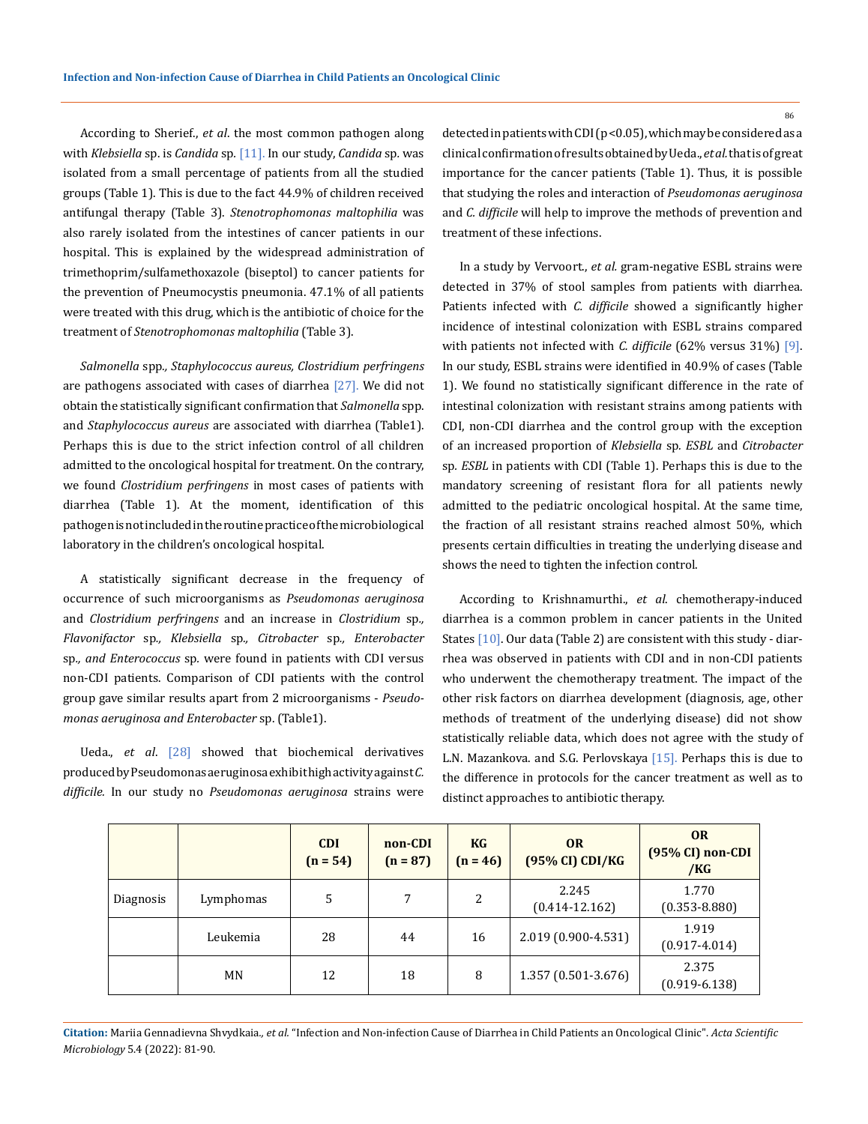According to Sherief., *et al*. the most common pathogen along with *Klebsiella* sp. is *Candida* sp*.* [11]. In our study, *Candida* sp*.* was isolated from a small percentage of patients from all the studied groups (Table 1). This is due to the fact 44.9% of children received antifungal therapy (Table 3). *Stenotrophomonas maltophilia* was also rarely isolated from the intestines of cancer patients in our hospital. This is explained by the widespread administration of trimethoprim/sulfamethoxazole (biseptol) to cancer patients for the prevention of Pneumocystis pneumonia. 47.1% of all patients were treated with this drug, which is the antibiotic of choice for the treatment of *Stenotrophomonas maltophilia* (Table 3).

*Salmonella* spp*., Staphylococcus aureus, Clostridium perfringens* are pathogens associated with cases of diarrhea  $[27]$ . We did not obtain the statistically significant confirmation that *Salmonella* spp. and *Staphylococcus aureus* are associated with diarrhea (Table1). Perhaps this is due to the strict infection control of all children admitted to the oncological hospital for treatment. On the contrary, we found *Clostridium perfringens* in most cases of patients with diarrhea (Table 1). At the moment, identification of this pathogen is not included in the routine practice of the microbiological laboratory in the children's oncological hospital.

A statistically significant decrease in the frequency of occurrence of such microorganisms as *Pseudomonas aeruginosa* and *Clostridium perfringens* and an increase in *Clostridium* sp*., Flavonifactor* sp*., Klebsiella* sp*., Citrobacter* sp*., Enterobacter*  sp*., and Enterococcus* sp*.* were found in patients with CDI versus non-CDI patients. Comparison of CDI patients with the control group gave similar results apart from 2 microorganisms - *Pseudomonas aeruginosa and Enterobacter* sp. (Table1).

Ueda., *et al*. [28] showed that biochemical derivatives produced by Pseudomonas aeruginosa exhibit high activity against *C. difficile.* In our study no *Pseudomonas aeruginosa* strains were detected in patients with CDI (p <0.05), which may be considered as a clinical confirmation of results obtained by Ueda., *et al.* that is of great importance for the cancer patients (Table 1). Thus, it is possible that studying the roles and interaction of *Pseudomonas aeruginosa* and *C. difficile* will help to improve the methods of prevention and treatment of these infections.

In a study by Vervoort., *et al.* gram-negative ESBL strains were detected in 37% of stool samples from patients with diarrhea. Patients infected with *C. difficile* showed a significantly higher incidence of intestinal colonization with ESBL strains compared with patients not infected with *C. difficile* (62% versus 31%) [9]. In our study, ESBL strains were identified in 40.9% of cases (Table 1). We found no statistically significant difference in the rate of intestinal colonization with resistant strains among patients with CDI, non-CDI diarrhea and the control group with the exception of an increased proportion of *Klebsiella* sp*. ESBL* and *Citrobacter*  sp*. ESBL* in patients with CDI (Table 1). Perhaps this is due to the mandatory screening of resistant flora for all patients newly admitted to the pediatric oncological hospital. At the same time, the fraction of all resistant strains reached almost 50%, which presents certain difficulties in treating the underlying disease and shows the need to tighten the infection control.

According to Krishnamurthi., *et al*. chemotherapy-induced diarrhea is a common problem in cancer patients in the United States [10]. Our data (Table 2) are consistent with this study - diarrhea was observed in patients with CDI and in non-CDI patients who underwent the chemotherapy treatment. The impact of the other risk factors on diarrhea development (diagnosis, age, other methods of treatment of the underlying disease) did not show statistically reliable data, which does not agree with the study of L.N. Mazankova. and S.G. Perlovskaya [15]. Perhaps this is due to the difference in protocols for the cancer treatment as well as to distinct approaches to antibiotic therapy.

|           |           | <b>CDI</b><br>$(n = 54)$ | non-CDI<br>$(n = 87)$ | <b>KG</b><br>$(n = 46)$ | <b>OR</b><br>(95% CI) CDI/KG | <b>OR</b><br>(95% CI) non-CDI<br>/KG |
|-----------|-----------|--------------------------|-----------------------|-------------------------|------------------------------|--------------------------------------|
| Diagnosis | Lymphomas | 5                        | 7                     | 2                       | 2.245<br>$(0.414 - 12.162)$  | 1.770<br>$(0.353 - 8.880)$           |
|           | Leukemia  | 28                       | 44                    | 16                      | 2.019 (0.900-4.531)          | 1.919<br>$(0.917 - 4.014)$           |
|           | MN        | 12                       | 18                    | 8                       | 1.357 (0.501-3.676)          | 2.375<br>$(0.919 - 6.138)$           |

**Citation:** Mariia Gennadievna Shvydkaia*., et al.* "Infection and Non-infection Cause of Diarrhea in Child Patients an Oncological Clinic". *Acta Scientific Microbiology* 5.4 (2022): 81-90.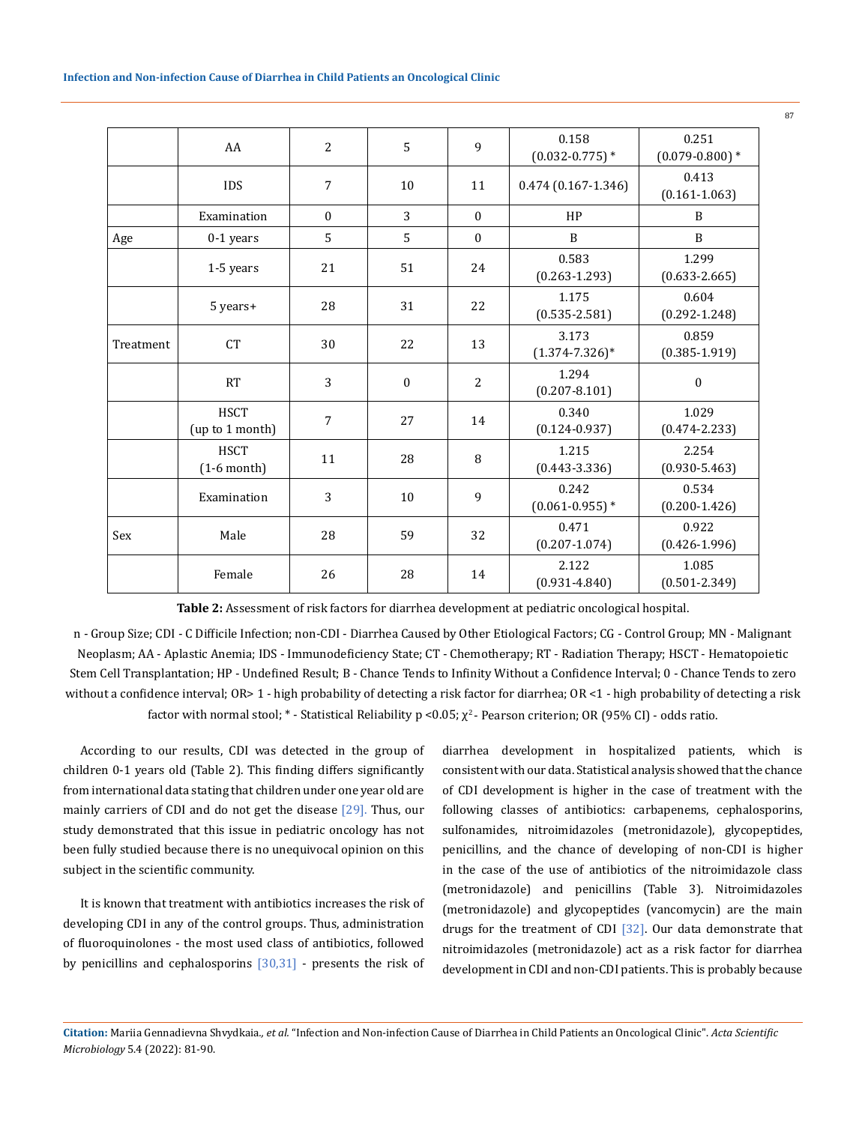|           | AA                             | $\overline{2}$  | 5            | 9              | 0.158<br>$(0.032 - 0.775)$ * | 0.251<br>$(0.079 - 0.800)*$ |
|-----------|--------------------------------|-----------------|--------------|----------------|------------------------------|-----------------------------|
|           | <b>IDS</b>                     | $7\overline{ }$ | 10           | 11             | $0.474(0.167 - 1.346)$       | 0.413<br>$(0.161 - 1.063)$  |
|           | Examination                    | $\Omega$        | 3            | $\Omega$       | HP                           | B                           |
| Age       | 0-1 years                      | 5               | 5            | $\Omega$       | B                            | B                           |
|           | 1-5 years                      | 21              | 51           | 24             | 0.583<br>$(0.263 - 1.293)$   | 1.299<br>$(0.633 - 2.665)$  |
|           | 5 years+                       | 28              | 31           | 22             | 1.175<br>$(0.535 - 2.581)$   | 0.604<br>$(0.292 - 1.248)$  |
| Treatment | <b>CT</b>                      | 30              | 22           | 13             | 3.173<br>$(1.374 - 7.326)^*$ | 0.859<br>$(0.385 - 1.919)$  |
|           | <b>RT</b>                      | 3               | $\mathbf{0}$ | $\overline{2}$ | 1.294<br>$(0.207 - 8.101)$   | $\boldsymbol{0}$            |
|           | <b>HSCT</b><br>(up to 1 month) | 7               | 27           | 14             | 0.340<br>$(0.124 - 0.937)$   | 1.029<br>$(0.474 - 2.233)$  |
|           | <b>HSCT</b><br>$(1-6$ month)   | 11              | 28           | 8              | 1.215<br>$(0.443 - 3.336)$   | 2.254<br>$(0.930 - 5.463)$  |
|           | Examination                    | 3               | 10           | 9              | 0.242<br>$(0.061 - 0.955)$ * | 0.534<br>$(0.200 - 1.426)$  |
| Sex       | Male                           | 28              | 59           | 32             | 0.471<br>$(0.207 - 1.074)$   | 0.922<br>$(0.426 - 1.996)$  |
|           | Female                         | 26              | 28           | 14             | 2.122<br>$(0.931 - 4.840)$   | 1.085<br>$(0.501 - 2.349)$  |

**Table 2:** Assessment of risk factors for diarrhea development at pediatric oncological hospital.

n - Group Size; CDI - C Difficile Infection; non-CDI - Diarrhea Caused by Other Etiological Factors; CG - Control Group; MN - Malignant Neoplasm; AA - Aplastic Anemia; IDS - Immunodeficiency State; CT - Chemotherapy; RT - Radiation Therapy; HSCT - Hematopoietic Stem Cell Transplantation; НР - Undefined Result; B - Chance Tends to Infinity Without a Confidence Interval; 0 - Chance Tends to zero without a confidence interval; OR> 1 - high probability of detecting a risk factor for diarrhea; OR <1 - high probability of detecting a risk factor with normal stool;  $*$  - Statistical Reliability p <0.05;  $\chi^2$ - Pearson criterion; OR (95% CI) - odds ratio.

According to our results, CDI was detected in the group of children 0-1 years old (Table 2). This finding differs significantly from international data stating that children under one year old are mainly carriers of CDI and do not get the disease [29]. Thus, our study demonstrated that this issue in pediatric oncology has not been fully studied because there is no unequivocal opinion on this subject in the scientific community.

It is known that treatment with antibiotics increases the risk of developing CDI in any of the control groups. Thus, administration of fluoroquinolones - the most used class of antibiotics, followed by penicillins and cephalosporins [30,31] - presents the risk of

diarrhea development in hospitalized patients, which is consistent with our data. Statistical analysis showed that the chance of CDI development is higher in the case of treatment with the following classes of antibiotics: carbapenems, cephalosporins, sulfonamides, nitroimidazoles (metronidazole), glycopeptides, penicillins, and the chance of developing of non-CDI is higher in the case of the use of antibiotics of the nitroimidazole class (metronidazole) and penicillins (Table 3). Nitroimidazoles (metronidazole) and glycopeptides (vancomycin) are the main drugs for the treatment of CDI [32]. Our data demonstrate that nitroimidazoles (metronidazole) act as a risk factor for diarrhea development in CDI and non-CDI patients. This is probably because

**Citation:** Mariia Gennadievna Shvydkaia*., et al.* "Infection and Non-infection Cause of Diarrhea in Child Patients an Oncological Clinic". *Acta Scientific Microbiology* 5.4 (2022): 81-90.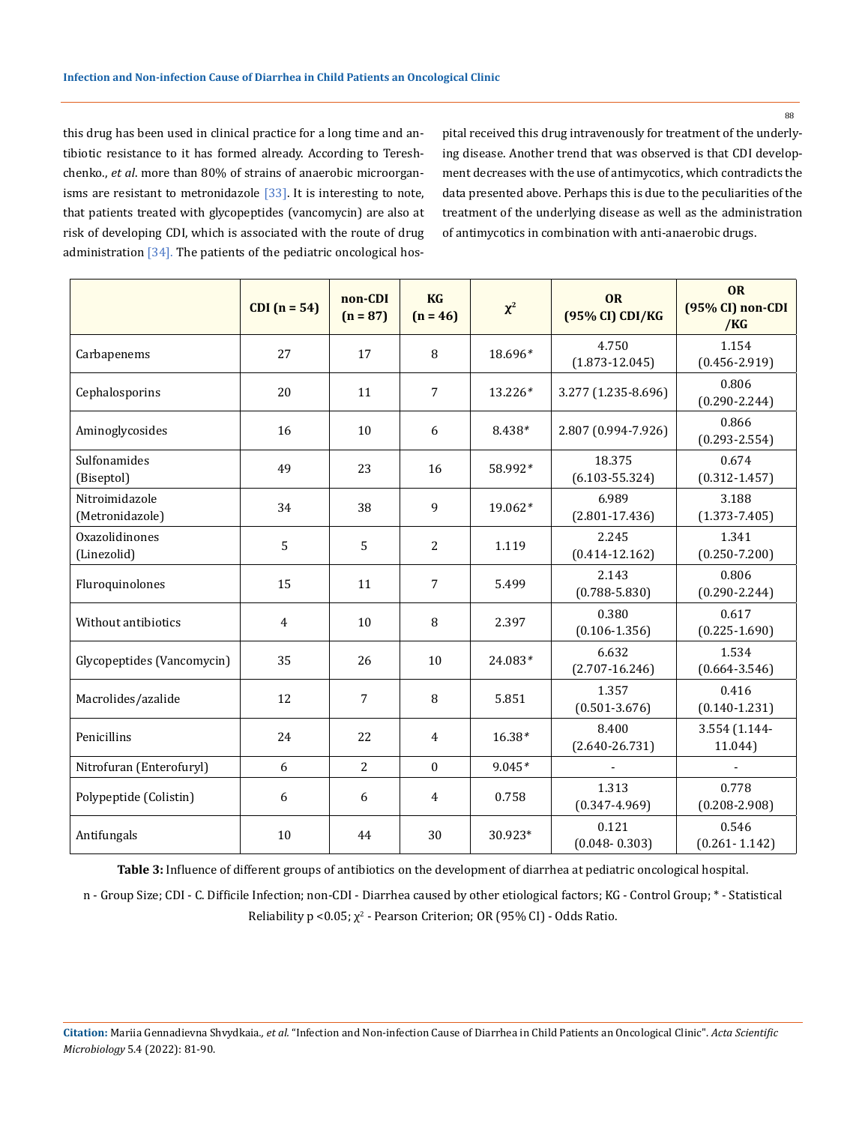this drug has been used in clinical practice for a long time and antibiotic resistance to it has formed already. According to Tereshchenko., *et al*. more than 80% of strains of anaerobic microorganisms are resistant to metronidazole [33]. It is interesting to note, that patients treated with glycopeptides (vancomycin) are also at risk of developing CDI, which is associated with the route of drug administration [34]. The patients of the pediatric oncological hospital received this drug intravenously for treatment of the underlying disease. Another trend that was observed is that CDI development decreases with the use of antimycotics, which contradicts the data presented above. Perhaps this is due to the peculiarities of the treatment of the underlying disease as well as the administration of antimycotics in combination with anti-anaerobic drugs.

|                                   | CDI $(n = 54)$ | non-CDI<br>$(n = 87)$ | <b>KG</b><br>$(n = 46)$ | $\chi^2$ | <b>OR</b><br>[95% CI] CDI/KG | <b>OR</b><br>(95% CI) non-CDI<br>$/$ KG |
|-----------------------------------|----------------|-----------------------|-------------------------|----------|------------------------------|-----------------------------------------|
| Carbapenems                       | 27             | 17                    | 8                       | 18.696*  | 4.750<br>$(1.873 - 12.045)$  | 1.154<br>$(0.456 - 2.919)$              |
| Cephalosporins                    | 20             | 11                    | 7                       | 13.226*  | 3.277 (1.235-8.696)          | 0.806<br>$(0.290 - 2.244)$              |
| Aminoglycosides                   | 16             | 10                    | 6                       | 8.438*   | 2.807 (0.994-7.926)          | 0.866<br>$(0.293 - 2.554)$              |
| Sulfonamides<br>(Biseptol)        | 49             | 23                    | 16                      | 58.992*  | 18.375<br>$(6.103 - 55.324)$ | 0.674<br>$(0.312 - 1.457)$              |
| Nitroimidazole<br>(Metronidazole) | 34             | 38                    | 9                       | 19.062*  | 6.989<br>$(2.801 - 17.436)$  | 3.188<br>$(1.373 - 7.405)$              |
| Oxazolidinones<br>(Linezolid)     | 5              | 5                     | 2                       | 1.119    | 2.245<br>$(0.414 - 12.162)$  | 1.341<br>$(0.250 - 7.200)$              |
| Fluroquinolones                   | 15             | 11                    | 7                       | 5.499    | 2.143<br>$(0.788 - 5.830)$   | 0.806<br>$(0.290 - 2.244)$              |
| Without antibiotics               | 4              | 10                    | 8                       | 2.397    | 0.380<br>$(0.106 - 1.356)$   | 0.617<br>$(0.225 - 1.690)$              |
| Glycopeptides (Vancomycin)        | 35             | 26                    | 10                      | 24.083*  | 6.632<br>$(2.707 - 16.246)$  | 1.534<br>$(0.664 - 3.546)$              |
| Macrolides/azalide                | 12             | 7                     | 8                       | 5.851    | 1.357<br>$(0.501 - 3.676)$   | 0.416<br>$(0.140 - 1.231)$              |
| Penicillins                       | 24             | 22                    | 4                       | 16.38*   | 8.400<br>$(2.640 - 26.731)$  | 3.554 (1.144-<br>11.044)                |
| Nitrofuran (Enterofuryl)          | 6              | 2                     | $\Omega$                | 9.045*   |                              |                                         |
| Polypeptide (Colistin)            | 6              | 6                     | 4                       | 0.758    | 1.313<br>$(0.347 - 4.969)$   | 0.778<br>$(0.208 - 2.908)$              |
| Antifungals                       | 10             | 44                    | 30                      | 30.923*  | 0.121<br>$(0.048 - 0.303)$   | 0.546<br>$(0.261 - 1.142)$              |

**Table 3:** Influence of different groups of antibiotics on the development of diarrhea at pediatric oncological hospital.

n - Group Size; CDI - C. Difficile Infection; non-CDI - Diarrhea caused by other etiological factors; KG - Control Group; \* - Statistical Reliability  $p < 0.05$ ;  $\chi^2$  - Pearson Criterion; OR (95% CI) - Odds Ratio.

**Citation:** Mariia Gennadievna Shvydkaia*., et al.* "Infection and Non-infection Cause of Diarrhea in Child Patients an Oncological Clinic". *Acta Scientific Microbiology* 5.4 (2022): 81-90.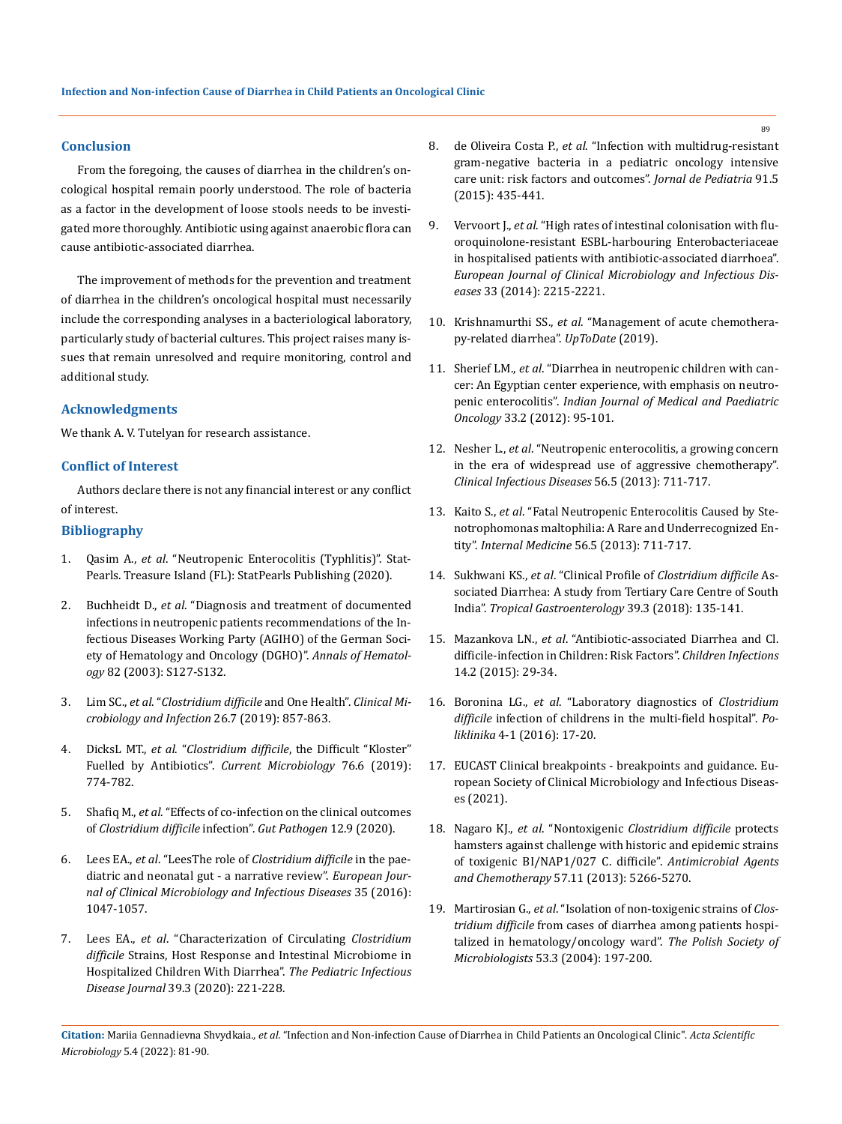# **Conclusion**

From the foregoing, the causes of diarrhea in the children's oncological hospital remain poorly understood. The role of bacteria as a factor in the development of loose stools needs to be investigated more thoroughly. Antibiotic using against anaerobic flora can cause antibiotic-associated diarrhea.

The improvement of methods for the prevention and treatment of diarrhea in the children's oncological hospital must necessarily include the corresponding analyses in a bacteriological laboratory, particularly study of bacterial cultures. This project raises many issues that remain unresolved and require monitoring, control and additional study.

# **Acknowledgments**

We thank A. V. Tutelyan for research assistance.

#### **Conflict of Interest**

Authors declare there is not any financial interest or any conflict of interest.

#### **Bibliography**

- 1. Qasim A., *et al*[. "Neutropenic Enterocolitis \(Typhlitis\)". Stat-](https://www.ncbi.nlm.nih.gov/books/NBK551577/)[Pearls. Treasure Island \(FL\): StatPearls Publishing \(2020\).](https://www.ncbi.nlm.nih.gov/books/NBK551577/)
- 2. Buchheidt D., *et al*[. "Diagnosis and treatment of documented](https://pubmed.ncbi.nlm.nih.gov/13680171/)  [infections in neutropenic patients recommendations of the In](https://pubmed.ncbi.nlm.nih.gov/13680171/)[fectious Diseases Working Party \(AGIHO\) of the German Soci](https://pubmed.ncbi.nlm.nih.gov/13680171/)[ety of Hematology and Oncology \(DGHO\)".](https://pubmed.ncbi.nlm.nih.gov/13680171/) *Annals of Hematology* [82 \(2003\): S127-S132.](https://pubmed.ncbi.nlm.nih.gov/13680171/)
- 3. Lim SC., *et al*. "*[Clostridium difficile](https://www.clinicalmicrobiologyandinfection.com/article/S1198-743X(19)30559-2/fulltext)* and One Health". *Clinical Mi[crobiology and Infection](https://www.clinicalmicrobiologyandinfection.com/article/S1198-743X(19)30559-2/fulltext)* 26.7 (2019): 857-863.
- 4. DicksL MT., *et al*. "*[Clostridium difficile](https://pubmed.ncbi.nlm.nih.gov/30084095/)*, the Difficult "Kloster" Fuelled by Antibiotics". *[Current Microbiology](https://pubmed.ncbi.nlm.nih.gov/30084095/)* 76.6 (2019): [774-782.](https://pubmed.ncbi.nlm.nih.gov/30084095/)
- 5. Shafiq M., *et al*[. "Effects of co-infection on the clinical outcomes](https://doi.org/10.1186/s13099-020-00348-7)  of *[Clostridium difficile](https://doi.org/10.1186/s13099-020-00348-7)* infection". *Gut Pathogen* 12.9 (2020).
- 6. Lees EA., *et al*. "LeesThe role of *[Clostridium difficile](https://link.springer.com/article/10.1007/s10096-016-2639-3)* in the pae[diatric and neonatal gut - a narrative review".](https://link.springer.com/article/10.1007/s10096-016-2639-3) *European Jour[nal of Clinical Microbiology and Infectious Diseases](https://link.springer.com/article/10.1007/s10096-016-2639-3)* 35 (2016): [1047-1057.](https://link.springer.com/article/10.1007/s10096-016-2639-3)
- 7. Lees EA., *et al*[. "Characterization of Circulating](https://pubmed.ncbi.nlm.nih.gov/31876614/) *Clostridium difficile* [Strains, Host Response and Intestinal Microbiome in](https://pubmed.ncbi.nlm.nih.gov/31876614/)  [Hospitalized Children With Diarrhea".](https://pubmed.ncbi.nlm.nih.gov/31876614/) *The Pediatric Infectious Disease Journal* 39.3 (2020): 221-228.
- 8. de Oliveira Costa P., *et al*[. "Infection with multidrug-resistant](https://doi.org/10.1016/j.jped.2014.11.009)  [gram-negative bacteria in a pediatric oncology intensive](https://doi.org/10.1016/j.jped.2014.11.009)  [care unit: risk factors and outcomes".](https://doi.org/10.1016/j.jped.2014.11.009) *Jornal de Pediatria* 91.5 [\(2015\): 435-441.](https://doi.org/10.1016/j.jped.2014.11.009)
- 9. Vervoort J., *et al*[. "High rates of intestinal colonisation with flu](https://doi.org/10.1007/s10096-014-2193-9)[oroquinolone-resistant ESBL-harbouring Enterobacteriaceae](https://doi.org/10.1007/s10096-014-2193-9)  [in hospitalised patients with antibiotic-associated diarrhoea".](https://doi.org/10.1007/s10096-014-2193-9)  *[European Journal of Clinical Microbiology and Infectious Dis](https://doi.org/10.1007/s10096-014-2193-9)eases* [33 \(2014\): 2215-2221.](https://doi.org/10.1007/s10096-014-2193-9)
- 10. Krishnamurthi SS., *et al*. "Management of acute chemotherapy-related diarrhea". *UpToDate* (2019).
- 11. Sherief LM., *et al*[. "Diarrhea in neutropenic children with can](https://pubmed.ncbi.nlm.nih.gov/22988351/)[cer: An Egyptian center experience, with emphasis on neutro](https://pubmed.ncbi.nlm.nih.gov/22988351/)penic enterocolitis". *[Indian Journal of Medical and Paediatric](https://pubmed.ncbi.nlm.nih.gov/22988351/)  Oncology* [33.2 \(2012\): 95-101.](https://pubmed.ncbi.nlm.nih.gov/22988351/)
- 12. Nesher L., *et al*[. "Neutropenic enterocolitis, a growing concern](https://pubmed.ncbi.nlm.nih.gov/23196957/)  [in the era of widespread use of aggressive chemotherapy".](https://pubmed.ncbi.nlm.nih.gov/23196957/)  *[Clinical Infectious Diseases](https://pubmed.ncbi.nlm.nih.gov/23196957/)* 56.5 (2013): 711-717.
- 13. Kaito S., *et al*[. "Fatal Neutropenic Enterocolitis Caused by Ste](https://pubmed.ncbi.nlm.nih.gov/23196957/)[notrophomonas maltophilia: A Rare and Underrecognized En](https://pubmed.ncbi.nlm.nih.gov/23196957/)tity". *Internal Medicine* [56.5 \(2013\): 711-717.](https://pubmed.ncbi.nlm.nih.gov/23196957/)
- 14. Sukhwani KS., *et al*. "Clinical Profile of *[Clostridium difficile](http://dx.doi.org/10.7869/tg.487)* As[sociated Diarrhea: A study from Tertiary Care Centre of South](http://dx.doi.org/10.7869/tg.487)  India". *[Tropical Gastroenterology](http://dx.doi.org/10.7869/tg.487)* 39.3 (2018): 135-141.
- 15. Mazankova LN., *et al*[. "Antibiotic-associated Diarrhea and Cl.](https://doi.org/10.22627/2072-8107-2015-14-2-30-34)  [difficile-infection in Children: Risk Factors".](https://doi.org/10.22627/2072-8107-2015-14-2-30-34) *Children Infections* [14.2 \(2015\): 29-34.](https://doi.org/10.22627/2072-8107-2015-14-2-30-34)
- 16. Boronina LG., *et al*. "Laboratory diagnostics of *Clostridium difficile* infection of childrens in the multi-field hospital". *Poliklinika* 4-1 (2016): 17-20.
- 17. EUCAST Clinical breakpoints breakpoints and guidance. European Society of Clinical Microbiology and Infectious Diseases (2021).
- 18. Nagaro KJ., *et al*. "Nontoxigenic *[Clostridium difficile](https://journals.asm.org/doi/10.1128/AAC.00580-13)* protects [hamsters against challenge with historic and epidemic strains](https://journals.asm.org/doi/10.1128/AAC.00580-13)  [of toxigenic BI/NAP1/027 C. difficile".](https://journals.asm.org/doi/10.1128/AAC.00580-13) *Antimicrobial Agents and Chemotherapy* [57.11 \(2013\): 5266-5270.](https://journals.asm.org/doi/10.1128/AAC.00580-13)
- 19. Martirosian G., *et al*[. "Isolation of non-toxigenic strains of](http://www.pjmonline.org/wp-content/uploads/archive/vol5332004197.pdf) *Clostridium difficile* [from cases of diarrhea among patients hospi](http://www.pjmonline.org/wp-content/uploads/archive/vol5332004197.pdf)[talized in hematology/oncology ward".](http://www.pjmonline.org/wp-content/uploads/archive/vol5332004197.pdf) *The Polish Society of Microbiologists* [53.3 \(2004\): 197-200.](http://www.pjmonline.org/wp-content/uploads/archive/vol5332004197.pdf)

**Citation:** Mariia Gennadievna Shvydkaia*., et al.* "Infection and Non-infection Cause of Diarrhea in Child Patients an Oncological Clinic". *Acta Scientific Microbiology* 5.4 (2022): 81-90.